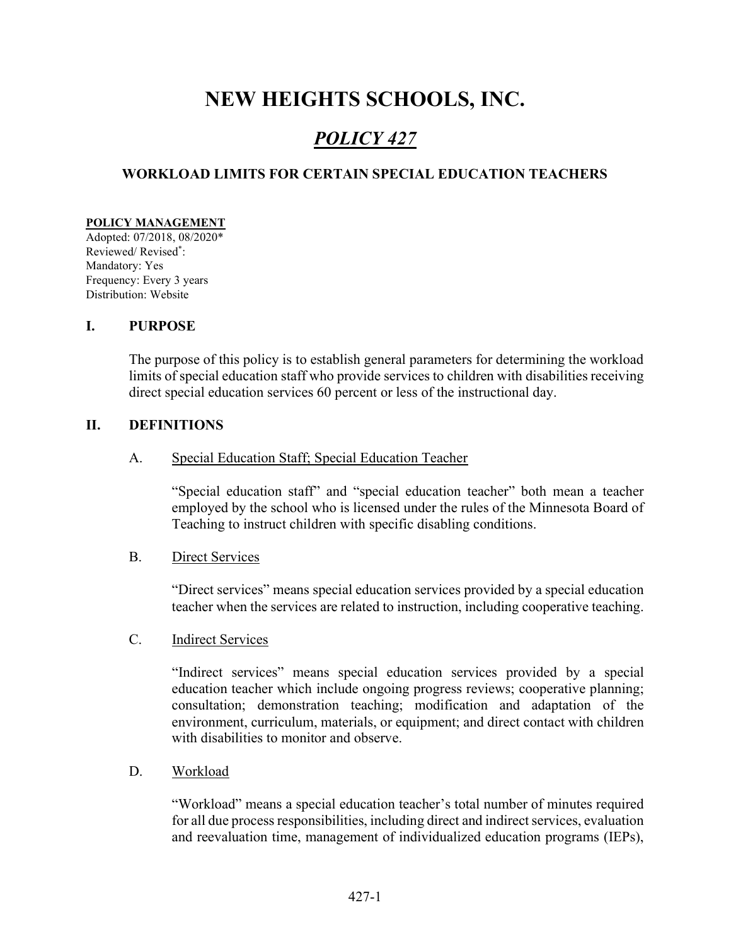# NEW HEIGHTS SCHOOLS, INC.

## POLICY 427

## WORKLOAD LIMITS FOR CERTAIN SPECIAL EDUCATION TEACHERS

#### POLICY MANAGEMENT

Adopted: 07/2018, 08/2020\* Reviewed/ Revised\* : Mandatory: Yes Frequency: Every 3 years Distribution: Website

#### I. PURPOSE

The purpose of this policy is to establish general parameters for determining the workload limits of special education staff who provide services to children with disabilities receiving direct special education services 60 percent or less of the instructional day.

#### II. DEFINITIONS

A. Special Education Staff; Special Education Teacher

"Special education staff" and "special education teacher" both mean a teacher employed by the school who is licensed under the rules of the Minnesota Board of Teaching to instruct children with specific disabling conditions.

#### B. Direct Services

"Direct services" means special education services provided by a special education teacher when the services are related to instruction, including cooperative teaching.

#### C. Indirect Services

 "Indirect services" means special education services provided by a special education teacher which include ongoing progress reviews; cooperative planning; consultation; demonstration teaching; modification and adaptation of the environment, curriculum, materials, or equipment; and direct contact with children with disabilities to monitor and observe.

D. Workload

"Workload" means a special education teacher's total number of minutes required for all due process responsibilities, including direct and indirect services, evaluation and reevaluation time, management of individualized education programs (IEPs),